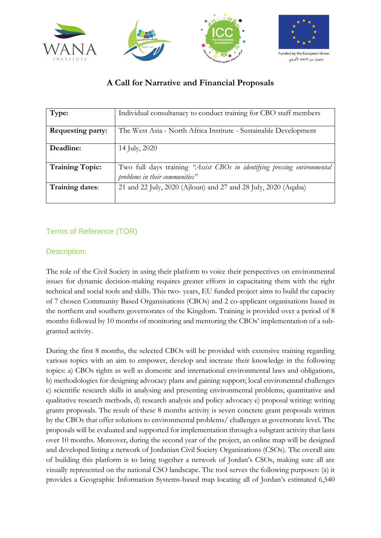

# Funded by the European Union

# **A Call for Narrative and Financial Proposals**

| Type:                    | Individual consultanacy to conduct training for CBO staff members                                           |
|--------------------------|-------------------------------------------------------------------------------------------------------------|
| <b>Requesting party:</b> | The West Asia - North Africa Institute - Sustainable Development                                            |
| Deadline:                | 14 July, 2020                                                                                               |
| <b>Training Topic:</b>   | Two full days training "Assist CBOs in identifying pressing environmental<br>problems in their communities" |
| Training dates:          | 21 and 22 July, 2020 (Ajloun) and 27 and 28 July, 2020 (Aqaba)                                              |

# Terms of Reference (TOR)

## Description:

The role of the Civil Society in using their platform to voice their perspectives on environmental issues for dynamic decision-making requires greater efforts in capacitating them with the right technical and social tools and skills. This two- years, EU funded project aims to build the capacity of 7 chosen Community Based Organsisations (CBOs) and 2 co-applicant organisations based in the northern and southern governorates of the Kingdom. Training is provided over a period of 8 months followed by 10 months of monitoring and mentoring the CBOs' implementation of a subgranted activity.

During the first 8 months, the selected CBOs will be provided with extensive training regarding various topics with an aim to empower, develop and increase their knowledge in the following topics: a) CBOs rights as well as domestic and international environmental laws and obligations, b) methodologies for designing advocacy plans and gaining support; local environemtal challenges c) scientific research skills in analysing and presenting environmental problems; quantitative and qualitative research methods, d) research analysis and policy advocacy e) proposal writing: writing grants proposals. The result of these 8 months activity is seven concrete grant proposals written by the CBOs that offer solutions to environmental problems/ challenges at governorate level. The proposals will be evaluated and supported for implementation through a subgrant activity that lasts over 10 months. Moreover, during the second year of the project, an online map will be designed and developed listing a network of Jordanian Civil Society Organisations (CSOs). The overall aim of building this platform is to bring together a network of Jordan's CSOs, making sure all are visually represented on the national CSO landscape. The tool serves the following purposes: (a) it provides a Geographic Information Systems-based map locating all of Jordan's estimated 6,540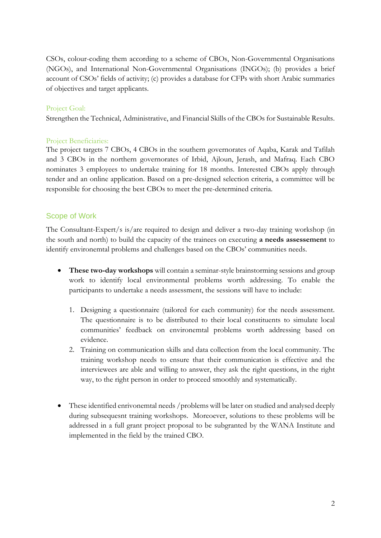CSOs, colour-coding them according to a scheme of CBOs, Non-Governmental Organisations (NGOs), and International Non-Governmental Organisations (INGOs); (b) provides a brief account of CSOs' fields of activity; (c) provides a database for CFPs with short Arabic summaries of objectives and target applicants.

#### Project Goal:

Strengthen the Technical, Administrative, and Financial Skills of the CBOs for Sustainable Results.

#### Project Beneficiaries:

The project targets 7 CBOs, 4 CBOs in the southern governorates of Aqaba, Karak and Tafilah and 3 CBOs in the northern governorates of Irbid, Ajloun, Jerash, and Mafraq. Each CBO nominates 3 employees to undertake training for 18 months. Interested CBOs apply through tender and an online application. Based on a pre-designed selection criteria, a committee will be responsible for choosing the best CBOs to meet the pre-determined criteria.

#### Scope of Work

The Consultant-Expert/s is/are required to design and deliver a two-day training workshop (in the south and north) to build the capacity of the trainees on executing **a needs assessement** to identify environemtal problems and challenges based on the CBOs' communities needs.

- **These two-day workshops** will contain a seminar-style brainstorming sessions and group work to identify local environmental problems worth addressing. To enable the participants to undertake a needs assessment, the sessions will have to include:
	- 1. Designing a questionnaire (tailored for each community) for the needs assessment. The questionnaire is to be distributed to their local constituents to simulate local communities' feedback on environemtal problems worth addressing based on evidence.
	- 2. Training on communication skills and data collection from the local community. The training workshop needs to ensure that their communication is effective and the interviewees are able and willing to answer, they ask the right questions, in the right way, to the right person in order to proceed smoothly and systematically.
- These identified enrivonemtal needs /problems will be later on studied and analysed deeply during subsequesnt training workshops. Moreoever, solutions to these problems will be addressed in a full grant project proposal to be subgranted by the WANA Institute and implemented in the field by the trained CBO.